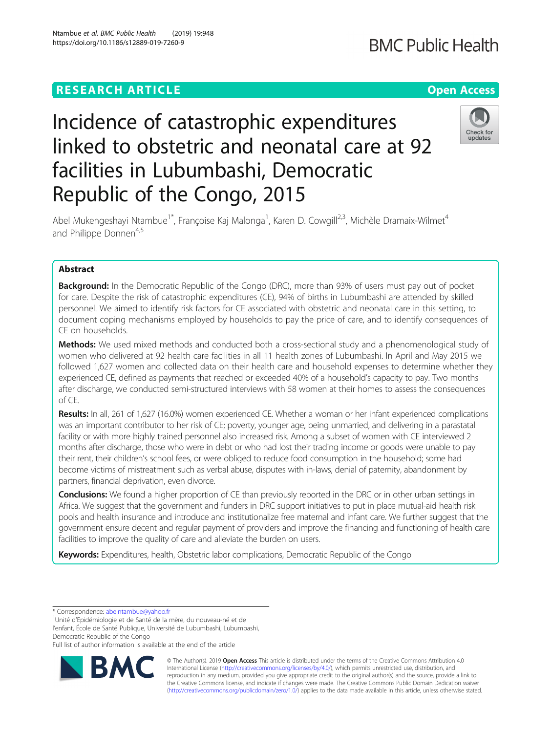# **RESEARCH ARTICLE Example 2014 12:30 The Open Access**

# Incidence of catastrophic expenditures linked to obstetric and neonatal care at 92 facilities in Lubumbashi, Democratic Republic of the Congo, 2015

Abel Mukengeshayi Ntambue<sup>1\*</sup>, Françoise Kaj Malonga<sup>1</sup>, Karen D. Cowgill<sup>2,3</sup>, Michèle Dramaix-Wilmet<sup>4</sup> and Philippe Donnen<sup>4,5</sup>

# Abstract

**Background:** In the Democratic Republic of the Congo (DRC), more than 93% of users must pay out of pocket for care. Despite the risk of catastrophic expenditures (CE), 94% of births in Lubumbashi are attended by skilled personnel. We aimed to identify risk factors for CE associated with obstetric and neonatal care in this setting, to document coping mechanisms employed by households to pay the price of care, and to identify consequences of CE on households.

Methods: We used mixed methods and conducted both a cross-sectional study and a phenomenological study of women who delivered at 92 health care facilities in all 11 health zones of Lubumbashi. In April and May 2015 we followed 1,627 women and collected data on their health care and household expenses to determine whether they experienced CE, defined as payments that reached or exceeded 40% of a household's capacity to pay. Two months after discharge, we conducted semi-structured interviews with 58 women at their homes to assess the consequences of CE.

Results: In all, 261 of 1,627 (16.0%) women experienced CE. Whether a woman or her infant experienced complications was an important contributor to her risk of CE; poverty, younger age, being unmarried, and delivering in a parastatal facility or with more highly trained personnel also increased risk. Among a subset of women with CE interviewed 2 months after discharge, those who were in debt or who had lost their trading income or goods were unable to pay their rent, their children's school fees, or were obliged to reduce food consumption in the household; some had become victims of mistreatment such as verbal abuse, disputes with in-laws, denial of paternity, abandonment by partners, financial deprivation, even divorce.

Conclusions: We found a higher proportion of CE than previously reported in the DRC or in other urban settings in Africa. We suggest that the government and funders in DRC support initiatives to put in place mutual-aid health risk pools and health insurance and introduce and institutionalize free maternal and infant care. We further suggest that the government ensure decent and regular payment of providers and improve the financing and functioning of health care facilities to improve the quality of care and alleviate the burden on users.

Keywords: Expenditures, health, Obstetric labor complications, Democratic Republic of the Congo

\* Correspondence: [abelntambue@yahoo.fr](mailto:abelntambue@yahoo.fr) <sup>1</sup>

Unité d'Epidémiologie et de Santé de la mère, du nouveau-né et de l'enfant, École de Santé Publique, Université de Lubumbashi, Lubumbashi, Democratic Republic of the Congo

Full list of author information is available at the end of the article



© The Author(s). 2019 **Open Access** This article is distributed under the terms of the Creative Commons Attribution 4.0 International License [\(http://creativecommons.org/licenses/by/4.0/](http://creativecommons.org/licenses/by/4.0/)), which permits unrestricted use, distribution, and reproduction in any medium, provided you give appropriate credit to the original author(s) and the source, provide a link to the Creative Commons license, and indicate if changes were made. The Creative Commons Public Domain Dedication waiver [\(http://creativecommons.org/publicdomain/zero/1.0/](http://creativecommons.org/publicdomain/zero/1.0/)) applies to the data made available in this article, unless otherwise stated.



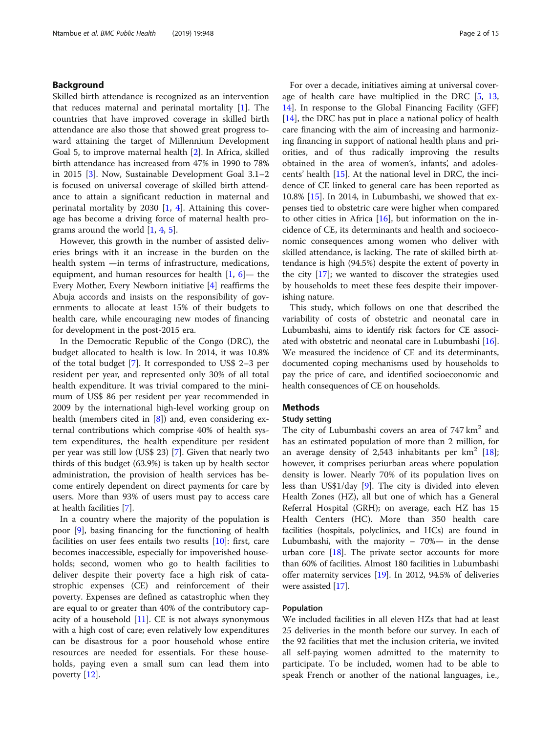# Background

Skilled birth attendance is recognized as an intervention that reduces maternal and perinatal mortality [\[1](#page-13-0)]. The countries that have improved coverage in skilled birth attendance are also those that showed great progress toward attaining the target of Millennium Development Goal 5, to improve maternal health [[2\]](#page-13-0). In Africa, skilled birth attendance has increased from 47% in 1990 to 78% in 2015 [[3\]](#page-13-0). Now, Sustainable Development Goal 3.1–2 is focused on universal coverage of skilled birth attendance to attain a significant reduction in maternal and perinatal mortality by 2030 [\[1](#page-13-0), [4](#page-13-0)]. Attaining this coverage has become a driving force of maternal health programs around the world  $[1, 4, 5]$  $[1, 4, 5]$  $[1, 4, 5]$  $[1, 4, 5]$  $[1, 4, 5]$  $[1, 4, 5]$ .

However, this growth in the number of assisted deliveries brings with it an increase in the burden on the health system —in terms of infrastructure, medications, equipment, and human resources for health  $[1, 6]$  $[1, 6]$  $[1, 6]$ — the Every Mother, Every Newborn initiative [[4](#page-13-0)] reaffirms the Abuja accords and insists on the responsibility of governments to allocate at least 15% of their budgets to health care, while encouraging new modes of financing for development in the post-2015 era.

In the Democratic Republic of the Congo (DRC), the budget allocated to health is low. In 2014, it was 10.8% of the total budget [[7\]](#page-13-0). It corresponded to US\$ 2–3 per resident per year, and represented only 30% of all total health expenditure. It was trivial compared to the minimum of US\$ 86 per resident per year recommended in 2009 by the international high-level working group on health (members cited in [\[8](#page-13-0)]) and, even considering external contributions which comprise 40% of health system expenditures, the health expenditure per resident per year was still low (US\$ 23) [\[7](#page-13-0)]. Given that nearly two thirds of this budget (63.9%) is taken up by health sector administration, the provision of health services has become entirely dependent on direct payments for care by users. More than 93% of users must pay to access care at health facilities [[7\]](#page-13-0).

In a country where the majority of the population is poor [\[9\]](#page-13-0), basing financing for the functioning of health facilities on user fees entails two results [\[10](#page-13-0)]: first, care becomes inaccessible, especially for impoverished households; second, women who go to health facilities to deliver despite their poverty face a high risk of catastrophic expenses (CE) and reinforcement of their poverty. Expenses are defined as catastrophic when they are equal to or greater than 40% of the contributory capacity of a household  $[11]$  $[11]$ . CE is not always synonymous with a high cost of care; even relatively low expenditures can be disastrous for a poor household whose entire resources are needed for essentials. For these households, paying even a small sum can lead them into poverty [\[12](#page-13-0)].

For over a decade, initiatives aiming at universal coverage of health care have multiplied in the DRC [[5,](#page-13-0) [13](#page-13-0), [14\]](#page-13-0). In response to the Global Financing Facility (GFF) [[14\]](#page-13-0), the DRC has put in place a national policy of health care financing with the aim of increasing and harmonizing financing in support of national health plans and priorities, and of thus radically improving the results obtained in the area of women's, infants', and adolescents' health [\[15](#page-13-0)]. At the national level in DRC, the incidence of CE linked to general care has been reported as 10.8% [[15\]](#page-13-0). In 2014, in Lubumbashi, we showed that expenses tied to obstetric care were higher when compared to other cities in Africa  $[16]$  $[16]$ , but information on the incidence of CE, its determinants and health and socioeconomic consequences among women who deliver with skilled attendance, is lacking. The rate of skilled birth attendance is high (94.5%) despite the extent of poverty in the city [\[17](#page-13-0)]; we wanted to discover the strategies used by households to meet these fees despite their impoverishing nature.

This study, which follows on one that described the variability of costs of obstetric and neonatal care in Lubumbashi, aims to identify risk factors for CE associated with obstetric and neonatal care in Lubumbashi [[16](#page-13-0)]. We measured the incidence of CE and its determinants, documented coping mechanisms used by households to pay the price of care, and identified socioeconomic and health consequences of CE on households.

## Methods

# Study setting

The city of Lubumbashi covers an area of  $747 \text{ km}^2$  and has an estimated population of more than 2 million, for an average density of 2,543 inhabitants per  $km^2$  [\[18](#page-13-0)]; however, it comprises periurban areas where population density is lower. Nearly 70% of its population lives on less than US\$1/day [\[9](#page-13-0)]. The city is divided into eleven Health Zones (HZ), all but one of which has a General Referral Hospital (GRH); on average, each HZ has 15 Health Centers (HC). More than 350 health care facilities (hospitals, polyclinics, and HCs) are found in Lubumbashi, with the majority – 70%— in the dense urban core [[18](#page-13-0)]. The private sector accounts for more than 60% of facilities. Almost 180 facilities in Lubumbashi offer maternity services [\[19\]](#page-13-0). In 2012, 94.5% of deliveries were assisted [[17](#page-13-0)].

## Population

We included facilities in all eleven HZs that had at least 25 deliveries in the month before our survey. In each of the 92 facilities that met the inclusion criteria, we invited all self-paying women admitted to the maternity to participate. To be included, women had to be able to speak French or another of the national languages, i.e.,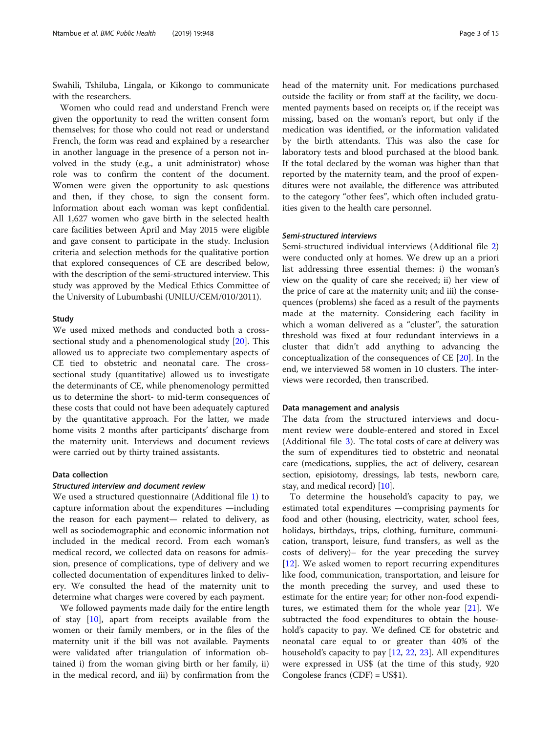Swahili, Tshiluba, Lingala, or Kikongo to communicate with the researchers.

Women who could read and understand French were given the opportunity to read the written consent form themselves; for those who could not read or understand French, the form was read and explained by a researcher in another language in the presence of a person not involved in the study (e.g., a unit administrator) whose role was to confirm the content of the document. Women were given the opportunity to ask questions and then, if they chose, to sign the consent form. Information about each woman was kept confidential. All 1,627 women who gave birth in the selected health care facilities between April and May 2015 were eligible and gave consent to participate in the study. Inclusion criteria and selection methods for the qualitative portion that explored consequences of CE are described below, with the description of the semi-structured interview. This study was approved by the Medical Ethics Committee of the University of Lubumbashi (UNILU/CEM/010/2011).

#### Study

We used mixed methods and conducted both a crosssectional study and a phenomenological study [[20\]](#page-13-0). This allowed us to appreciate two complementary aspects of CE tied to obstetric and neonatal care. The crosssectional study (quantitative) allowed us to investigate the determinants of CE, while phenomenology permitted us to determine the short- to mid-term consequences of these costs that could not have been adequately captured by the quantitative approach. For the latter, we made home visits 2 months after participants' discharge from the maternity unit. Interviews and document reviews were carried out by thirty trained assistants.

# Data collection

#### Structured interview and document review

We used a structured questionnaire (Additional file [1](#page-12-0)) to capture information about the expenditures —including the reason for each payment— related to delivery, as well as sociodemographic and economic information not included in the medical record. From each woman's medical record, we collected data on reasons for admission, presence of complications, type of delivery and we collected documentation of expenditures linked to delivery. We consulted the head of the maternity unit to determine what charges were covered by each payment.

We followed payments made daily for the entire length of stay [[10](#page-13-0)], apart from receipts available from the women or their family members, or in the files of the maternity unit if the bill was not available. Payments were validated after triangulation of information obtained i) from the woman giving birth or her family, ii) in the medical record, and iii) by confirmation from the head of the maternity unit. For medications purchased outside the facility or from staff at the facility, we documented payments based on receipts or, if the receipt was missing, based on the woman's report, but only if the medication was identified, or the information validated by the birth attendants. This was also the case for laboratory tests and blood purchased at the blood bank. If the total declared by the woman was higher than that reported by the maternity team, and the proof of expenditures were not available, the difference was attributed to the category "other fees", which often included gratuities given to the health care personnel.

### Semi-structured interviews

Semi-structured individual interviews (Additional file [2](#page-12-0)) were conducted only at homes. We drew up an a priori list addressing three essential themes: i) the woman's view on the quality of care she received; ii) her view of the price of care at the maternity unit; and iii) the consequences (problems) she faced as a result of the payments made at the maternity. Considering each facility in which a woman delivered as a "cluster", the saturation threshold was fixed at four redundant interviews in a cluster that didn't add anything to advancing the conceptualization of the consequences of CE [[20](#page-13-0)]. In the end, we interviewed 58 women in 10 clusters. The interviews were recorded, then transcribed.

#### Data management and analysis

The data from the structured interviews and document review were double-entered and stored in Excel (Additional file [3\)](#page-12-0). The total costs of care at delivery was the sum of expenditures tied to obstetric and neonatal care (medications, supplies, the act of delivery, cesarean section, episiotomy, dressings, lab tests, newborn care, stay, and medical record) [[10](#page-13-0)].

To determine the household's capacity to pay, we estimated total expenditures —comprising payments for food and other (housing, electricity, water, school fees, holidays, birthdays, trips, clothing, furniture, communication, transport, leisure, fund transfers, as well as the costs of delivery)– for the year preceding the survey [[12\]](#page-13-0). We asked women to report recurring expenditures like food, communication, transportation, and leisure for the month preceding the survey, and used these to estimate for the entire year; for other non-food expenditures, we estimated them for the whole year [[21](#page-13-0)]. We subtracted the food expenditures to obtain the household's capacity to pay. We defined CE for obstetric and neonatal care equal to or greater than 40% of the household's capacity to pay [[12,](#page-13-0) [22,](#page-13-0) [23\]](#page-13-0). All expenditures were expressed in US\$ (at the time of this study, 920 Congolese francs (CDF) = US\$1).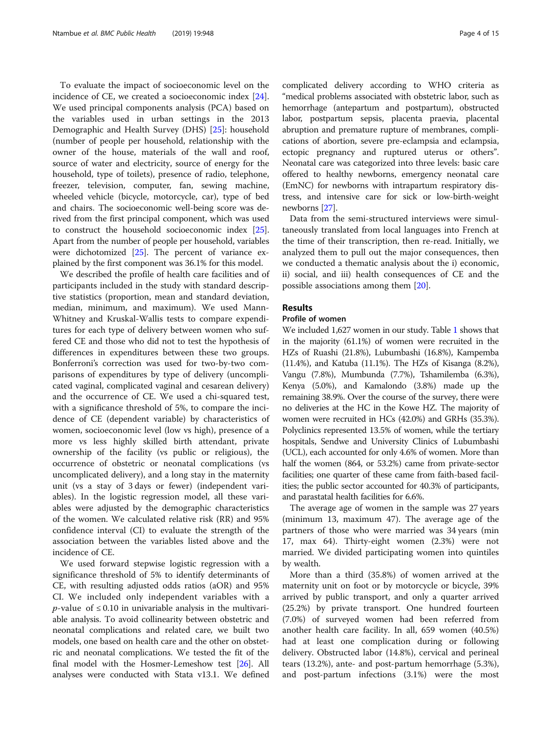To evaluate the impact of socioeconomic level on the incidence of CE, we created a socioeconomic index [\[24](#page-13-0)]. We used principal components analysis (PCA) based on the variables used in urban settings in the 2013 Demographic and Health Survey (DHS) [[25](#page-13-0)]: household (number of people per household, relationship with the owner of the house, materials of the wall and roof, source of water and electricity, source of energy for the household, type of toilets), presence of radio, telephone, freezer, television, computer, fan, sewing machine, wheeled vehicle (bicycle, motorcycle, car), type of bed and chairs. The socioeconomic well-being score was derived from the first principal component, which was used to construct the household socioeconomic index [[25](#page-13-0)]. Apart from the number of people per household, variables were dichotomized [\[25](#page-13-0)]. The percent of variance explained by the first component was 36.1% for this model.

We described the profile of health care facilities and of participants included in the study with standard descriptive statistics (proportion, mean and standard deviation, median, minimum, and maximum). We used Mann-Whitney and Kruskal-Wallis tests to compare expenditures for each type of delivery between women who suffered CE and those who did not to test the hypothesis of differences in expenditures between these two groups. Bonferroni's correction was used for two-by-two comparisons of expenditures by type of delivery (uncomplicated vaginal, complicated vaginal and cesarean delivery) and the occurrence of CE. We used a chi-squared test, with a significance threshold of 5%, to compare the incidence of CE (dependent variable) by characteristics of women, socioeconomic level (low vs high), presence of a more vs less highly skilled birth attendant, private ownership of the facility (vs public or religious), the occurrence of obstetric or neonatal complications (vs uncomplicated delivery), and a long stay in the maternity unit (vs a stay of 3 days or fewer) (independent variables). In the logistic regression model, all these variables were adjusted by the demographic characteristics of the women. We calculated relative risk (RR) and 95% confidence interval (CI) to evaluate the strength of the association between the variables listed above and the incidence of CE.

We used forward stepwise logistic regression with a significance threshold of 5% to identify determinants of CE, with resulting adjusted odds ratios (aOR) and 95% CI. We included only independent variables with a *p*-value of  $\leq 0.10$  in univariable analysis in the multivariable analysis. To avoid collinearity between obstetric and neonatal complications and related care, we built two models, one based on health care and the other on obstetric and neonatal complications. We tested the fit of the final model with the Hosmer-Lemeshow test [\[26\]](#page-13-0). All analyses were conducted with Stata v13.1. We defined complicated delivery according to WHO criteria as "medical problems associated with obstetric labor, such as hemorrhage (antepartum and postpartum), obstructed labor, postpartum sepsis, placenta praevia, placental abruption and premature rupture of membranes, complications of abortion, severe pre-eclampsia and eclampsia, ectopic pregnancy and ruptured uterus or others". Neonatal care was categorized into three levels: basic care offered to healthy newborns, emergency neonatal care (EmNC) for newborns with intrapartum respiratory distress, and intensive care for sick or low-birth-weight newborns [[27](#page-13-0)].

Data from the semi-structured interviews were simultaneously translated from local languages into French at the time of their transcription, then re-read. Initially, we analyzed them to pull out the major consequences, then we conducted a thematic analysis about the i) economic, ii) social, and iii) health consequences of CE and the possible associations among them [[20](#page-13-0)].

# Results

# Profile of women

We included [1](#page-4-0),627 women in our study. Table 1 shows that in the majority (61.1%) of women were recruited in the HZs of Ruashi (21.8%), Lubumbashi (16.8%), Kampemba (11.4%), and Katuba (11.1%). The HZs of Kisanga (8.2%), Vangu (7.8%), Mumbunda (7.7%), Tshamilemba (6.3%), Kenya (5.0%), and Kamalondo (3.8%) made up the remaining 38.9%. Over the course of the survey, there were no deliveries at the HC in the Kowe HZ. The majority of women were recruited in HCs (42.0%) and GRHs (35.3%). Polyclinics represented 13.5% of women, while the tertiary hospitals, Sendwe and University Clinics of Lubumbashi (UCL), each accounted for only 4.6% of women. More than half the women (864, or 53.2%) came from private-sector facilities; one quarter of these came from faith-based facilities; the public sector accounted for 40.3% of participants, and parastatal health facilities for 6.6%.

The average age of women in the sample was 27 years (minimum 13, maximum 47). The average age of the partners of those who were married was 34 years (min 17, max 64). Thirty-eight women (2.3%) were not married. We divided participating women into quintiles by wealth.

More than a third (35.8%) of women arrived at the maternity unit on foot or by motorcycle or bicycle, 39% arrived by public transport, and only a quarter arrived (25.2%) by private transport. One hundred fourteen (7.0%) of surveyed women had been referred from another health care facility. In all, 659 women (40.5%) had at least one complication during or following delivery. Obstructed labor (14.8%), cervical and perineal tears (13.2%), ante- and post-partum hemorrhage (5.3%), and post-partum infections (3.1%) were the most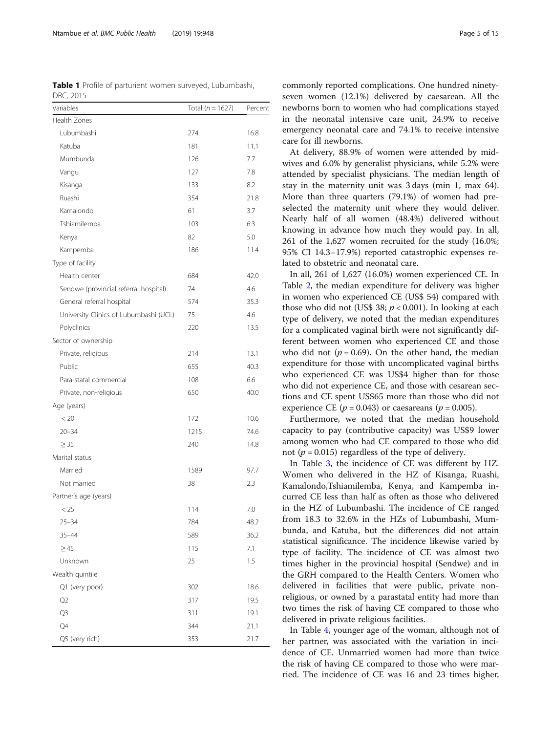commonly reported complications. One hundred ninetyseven women (12.1%) delivered by caesarean. All the newborns born to women who had complications stayed in the neonatal intensive care unit, 24.9% to receive emergency neonatal care and 74.1% to receive intensive care for ill newborns.

At delivery, 88.9% of women were attended by midwives and 6.0% by generalist physicians, while 5.2% were attended by specialist physicians. The median length of stay in the maternity unit was 3 days (min 1, max 64). More than three quarters (79.1%) of women had preselected the maternity unit where they would deliver. Nearly half of all women (48.4%) delivered without knowing in advance how much they would pay. In all, 261 of the 1,627 women recruited for the study (16.0%; 95% CI 14.3–17.9%) reported catastrophic expenses related to obstetric and neonatal care.

In all, 261 of 1,627 (16.0%) women experienced CE. In Table [2](#page-5-0), the median expenditure for delivery was higher in women who experienced CE (US\$ 54) compared with those who did not (US\$ 38;  $p < 0.001$ ). In looking at each type of delivery, we noted that the median expenditures for a complicated vaginal birth were not significantly different between women who experienced CE and those who did not ( $p = 0.69$ ). On the other hand, the median expenditure for those with uncomplicated vaginal births who experienced CE was US\$4 higher than for those who did not experience CE, and those with cesarean sections and CE spent US\$65 more than those who did not experience CE ( $p = 0.043$ ) or caesareans ( $p = 0.005$ ).

Furthermore, we noted that the median household capacity to pay (contributive capacity) was US\$9 lower among women who had CE compared to those who did not ( $p = 0.015$ ) regardless of the type of delivery.

In Table [3,](#page-5-0) the incidence of CE was different by HZ. Women who delivered in the HZ of Kisanga, Ruashi, Kamalondo,Tshiamilemba, Kenya, and Kampemba incurred CE less than half as often as those who delivered in the HZ of Lubumbashi. The incidence of CE ranged from 18.3 to 32.6% in the HZs of Lubumbashi, Mumbunda, and Katuba, but the differences did not attain statistical significance. The incidence likewise varied by type of facility. The incidence of CE was almost two times higher in the provincial hospital (Sendwe) and in the GRH compared to the Health Centers. Women who delivered in facilities that were public, private nonreligious, or owned by a parastatal entity had more than two times the risk of having CE compared to those who delivered in private religious facilities.

In Table [4,](#page-6-0) younger age of the woman, although not of her partner, was associated with the variation in incidence of CE. Unmarried women had more than twice the risk of having CE compared to those who were married. The incidence of CE was 16 and 23 times higher,

<span id="page-4-0"></span>Table 1 Profile of parturient women surveyed, Lubumbashi, DRC, 2015

| Variables                              | Total $(n = 1627)$ | Percent |
|----------------------------------------|--------------------|---------|
| Health Zones                           |                    |         |
| Lubumbashi                             | 274                | 16.8    |
| Katuba                                 | 181                | 11.1    |
| Mumbunda                               | 126                | 7.7     |
| Vangu                                  | 127                | 7.8     |
| Kisanga                                | 133                | 8.2     |
| Ruashi                                 | 354                | 21.8    |
| Kamalondo                              | 61                 | 3.7     |
| Tshiamilemba                           | 103                | 6.3     |
| Kenya                                  | 82                 | 5.0     |
| Kampemba                               | 186                | 11.4    |
| Type of facility                       |                    |         |
| Health center                          | 684                | 42.0    |
| Sendwe (provincial referral hospital)  | 74                 | 4.6     |
| General referral hospital              | 574                | 35.3    |
| University Clinics of Lubumbashi (UCL) | 75                 | 4.6     |
| Polyclinics                            | 220                | 13.5    |
| Sector of ownership                    |                    |         |
| Private, religious                     | 214                | 13.1    |
| Public                                 | 655                | 40.3    |
| Para-statal commercial                 | 108                | 6.6     |
| Private, non-religious                 | 650                | 40.0    |
| Age (years)                            |                    |         |
| < 20                                   | 172                | 10.6    |
| $20 - 34$                              | 1215               | 74.6    |
| $\geq$ 35                              | 240                | 14.8    |
| Marital status                         |                    |         |
| Married                                | 1589               | 97.7    |
| Not married                            | 38                 | 2.3     |
| Partner's age (years)                  |                    |         |
| < 25                                   | 114                | 7.0     |
| 25–34                                  | 784                | 48.2    |
| $35 - 44$                              | 589                | 36.2    |
| $\geq$ 45                              | 115                | 7.1     |
| Unknown                                | 25                 | 1.5     |
| Wealth quintile                        |                    |         |
| Q1 (very poor)                         | 302                | 18.6    |
| Q2                                     | 317                | 19.5    |
| Q3                                     | 311                | 19.1    |
| Q4                                     | 344                | 21.1    |
| Q5 (very rich)                         | 353                | 21.7    |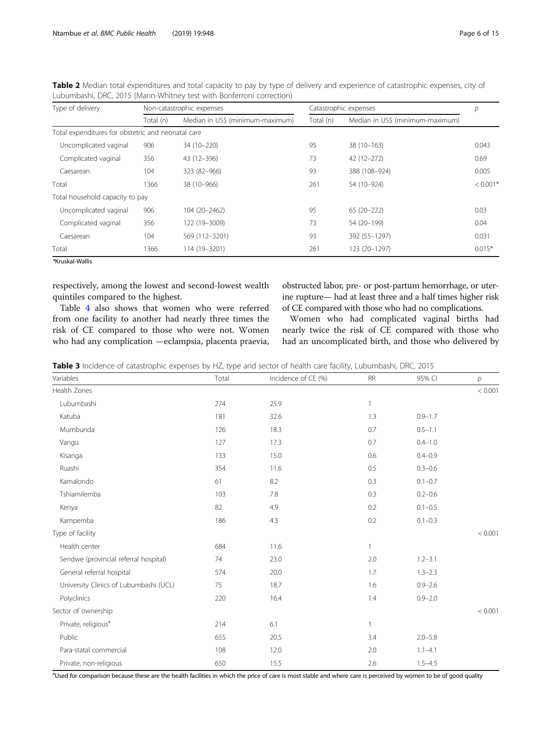| Type of delivery                                   | Non-catastrophic expenses                     |                | Catastrophic expenses | p                                |            |
|----------------------------------------------------|-----------------------------------------------|----------------|-----------------------|----------------------------------|------------|
|                                                    | Median in US\$ (minimum-maximum)<br>Total (n) |                | Total (n)             | Median in US\$ (minimum-maximum) |            |
| Total expenditures for obstetric and neonatal care |                                               |                |                       |                                  |            |
| Uncomplicated vaginal                              | 906                                           | 34 (10-220)    | 95                    | 38 (10-163)                      | 0.043      |
| Complicated vaginal                                | 356                                           | 43 (12-396)    | 73                    | 42 (12-272)                      | 0.69       |
| Caesarean                                          | 104                                           | 323 (82-966)   | 93                    | 388 (108-924)                    | 0.005      |
| Total                                              | 1366                                          | 38 (10-966)    | 261                   | 54 (10-924)                      | $< 0.001*$ |
| Total household capacity to pay                    |                                               |                |                       |                                  |            |
| Uncomplicated vaginal                              | 906                                           | 104 (20-2462)  | 95                    | $65(20-222)$                     | 0.03       |
| Complicated vaginal                                | 356                                           | 122 (19-3009)  | 73                    | 54 (20-199)                      | 0.04       |
| Caesarean                                          | 104                                           | 569 (112-3201) | 93                    | 392 (55-1297)                    | 0.031      |
| Total                                              | 1366                                          | 114 (19-3201)  | 261                   | 123 (20-1297)                    | $0.015*$   |

<span id="page-5-0"></span>Table 2 Median total expenditures and total capacity to pay by type of delivery and experience of catastrophic expenses, city of Lubumbashi, DRC, 2015 (Mann-Whitney test with Bonferroni correction)

\*Kruskal-Wallis

respectively, among the lowest and second-lowest wealth quintiles compared to the highest.

Table [4](#page-6-0) also shows that women who were referred from one facility to another had nearly three times the risk of CE compared to those who were not. Women who had any complication —eclampsia, placenta praevia,

obstructed labor, pre- or post-partum hemorrhage, or uterine rupture— had at least three and a half times higher risk of CE compared with those who had no complications.

Women who had complicated vaginal births had nearly twice the risk of CE compared with those who had an uncomplicated birth, and those who delivered by

|  |  |  |  |  | Table 3 Incidence of catastrophic expenses by HZ, type and sector of health care facility, Lubumbashi, DRC, 2015 |  |
|--|--|--|--|--|------------------------------------------------------------------------------------------------------------------|--|
|--|--|--|--|--|------------------------------------------------------------------------------------------------------------------|--|

| Variables                              | Total | Incidence of CE (%) | <b>RR</b>    | 95% CI      | $\mathcal{P}$ |
|----------------------------------------|-------|---------------------|--------------|-------------|---------------|
| Health Zones                           |       |                     |              |             | < 0.001       |
| Lubumbashi                             | 274   | 25.9                | $\mathbf{1}$ |             |               |
| Katuba                                 | 181   | 32.6                | 1.3          | $0.9 - 1.7$ |               |
| Mumbunda                               | 126   | 18.3                | 0.7          | $0.5 - 1.1$ |               |
| Vangu                                  | 127   | 17.3                | 0.7          | $0.4 - 1.0$ |               |
| Kisanga                                | 133   | 15.0                | 0.6          | $0.4 - 0.9$ |               |
| Ruashi                                 | 354   | 11.6                | 0.5          | $0.3 - 0.6$ |               |
| Kamalondo                              | 61    | 8.2                 | 0.3          | $0.1 - 0.7$ |               |
| Tshiamilemba                           | 103   | 7.8                 | 0.3          | $0.2 - 0.6$ |               |
| Kenya                                  | 82    | 4.9                 | 0.2          | $0.1 - 0.5$ |               |
| Kampemba                               | 186   | 4.3                 | 0.2          | $0.1 - 0.3$ |               |
| Type of facility                       |       |                     |              |             | < 0.001       |
| Health center                          | 684   | 11.6                | $\mathbf{1}$ |             |               |
| Sendwe (provincial referral hospital)  | 74    | 23.0                | 2.0          | $1.2 - 3.1$ |               |
| General referral hospital              | 574   | 20.0                | 1.7          | $1.3 - 2.3$ |               |
| University Clinics of Lubumbashi (UCL) | 75    | 18.7                | 1.6          | $0.9 - 2.6$ |               |
| Polyclinics                            | 220   | 16.4                | 1.4          | $0.9 - 2.0$ |               |
| Sector of ownership                    |       |                     |              |             | < 0.001       |
| Private, religious <sup>a</sup>        | 214   | 6.1                 | 1            |             |               |
| Public                                 | 655   | 20.5                | 3.4          | $2.0 - 5.8$ |               |
| Para-statal commercial                 | 108   | 12.0                | 2.0          | $1.1 - 4.1$ |               |
| Private, non-religious                 | 650   | 15.5                | 2.6          | $1.5 - 4.5$ |               |

<sup>a</sup>Used for comparison because these are the health facilities in which the price of care is most stable and where care is perceived by women to be of good quality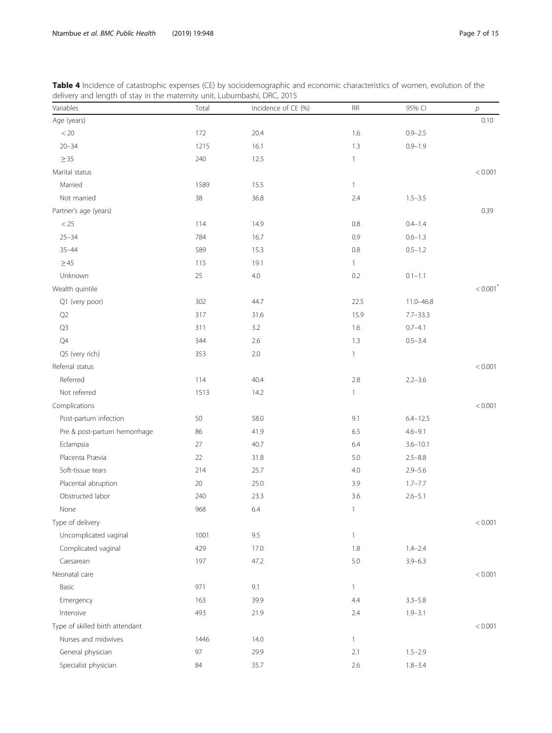| Variables                       | Total | Incidence of CE (%) | <b>RR</b>      | 95% CI        | $\boldsymbol{p}$       |
|---------------------------------|-------|---------------------|----------------|---------------|------------------------|
| Age (years)                     |       |                     |                |               | 0.10                   |
| $< 20$                          | 172   | 20.4                | 1.6            | $0.9 - 2.5$   |                        |
| $20 - 34$                       | 1215  | 16.1                | 1.3            | $0.9 - 1.9$   |                        |
| $\geq$ 35                       | 240   | 12.5                | $\mathbf{1}$   |               |                        |
| Marital status                  |       |                     |                |               | < 0.001                |
| Married                         | 1589  | 15.5                | $\mathbf{1}$   |               |                        |
| Not married                     | 38    | 36.8                | 2.4            | $1.5 - 3.5$   |                        |
| Partner's age (years)           |       |                     |                |               | 0.39                   |
| $<25\,$                         | 114   | 14.9                | 0.8            | $0.4 - 1.4$   |                        |
| $25 - 34$                       | 784   | 16.7                | 0.9            | $0.6 - 1.3$   |                        |
| $35 - 44$                       | 589   | 15.3                | $0.8\,$        | $0.5 - 1.2$   |                        |
| $\geq$ 45                       | 115   | 19.1                | $\overline{1}$ |               |                        |
| Unknown                         | 25    | 4.0                 | 0.2            | $0.1 - 1.1$   |                        |
| Wealth quintile                 |       |                     |                |               | $< 0.001$ <sup>*</sup> |
| Q1 (very poor)                  | 302   | 44.7                | 22.5           | $11.0 - 46.8$ |                        |
| Q2                              | 317   | 31.6                | 15.9           | $7.7 - 33.3$  |                        |
| Q3                              | 311   | 3.2                 | 1.6            | $0.7 - 4.1$   |                        |
| Q4                              | 344   | 2.6                 | 1.3            | $0.5 - 3.4$   |                        |
| Q5 (very rich)                  | 353   | 2.0                 | $\overline{1}$ |               |                        |
| Referral status                 |       |                     |                |               | < 0.001                |
| Referred                        | 114   | 40.4                | 2.8            | $2.2 - 3.6$   |                        |
| Not referred                    | 1513  | 14.2                | $\mathbf{1}$   |               |                        |
| Complications                   |       |                     |                |               | < 0.001                |
| Post-partum infection           | 50    | 58.0                | 9.1            | $6.4 - 12.5$  |                        |
| Pre & post-partum hemorrhage    | 86    | 41.9                | 6.5            | $4.6 - 9.1$   |                        |
| Eclampsia                       | 27    | 40.7                | 6.4            | $3.6 - 10.1$  |                        |
| Placenta Prævia                 | 22    | 31.8                | $5.0\,$        | $2.5 - 8.8$   |                        |
| Soft-tissue tears               | 214   | 25.7                | 4.0            | $2.9 - 5.6$   |                        |
| Placental abruption             | 20    | 25.0                | 3.9            | $1.7 - 7.7$   |                        |
| Obstructed labor                | 240   | 23.3                | 3.6            | $2.6 - 5.1$   |                        |
| None                            | 968   | 6.4                 | $\mathbf{1}$   |               |                        |
| Type of delivery                |       |                     |                |               | < 0.001                |
| Uncomplicated vaginal           | 1001  | 9.5                 | $\mathbf{1}$   |               |                        |
| Complicated vaginal             | 429   | 17.0                | 1.8            | $1.4 - 2.4$   |                        |
| Caesarean                       | 197   | 47.2                | 5.0            | $3.9 - 6.3$   |                        |
| Neonatal care                   |       |                     |                |               | < 0.001                |
| Basic                           | 971   | 9.1                 | $\mathbf{1}$   |               |                        |
| Emergency                       | 163   | 39.9                | 4.4            | $3.3 - 5.8$   |                        |
| Intensive                       | 493   | 21.9                | 2.4            | $1.9 - 3.1$   |                        |
| Type of skilled birth attendant |       |                     |                |               | < 0.001                |
| Nurses and midwives             | 1446  | 14.0                | $\mathbf{1}$   |               |                        |
| General physician               | 97    | 29.9                | 2.1            | $1.5 - 2.9$   |                        |
| Specialist physician            | 84    | 35.7                | 2.6            | $1.8 - 3.4$   |                        |
|                                 |       |                     |                |               |                        |

<span id="page-6-0"></span>Table 4 Incidence of catastrophic expenses (CE) by sociodemographic and economic characteristics of women, evolution of the delivery and length of stay in the maternity unit, Lubumbashi, DRC, 2015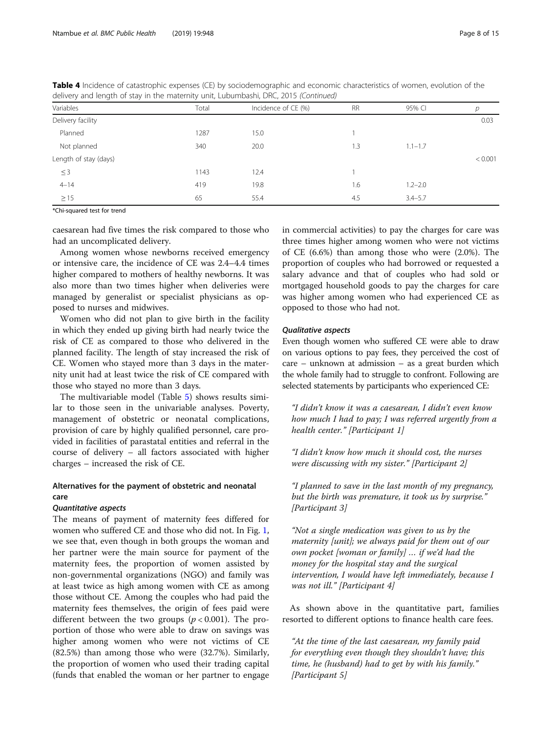| achivery and rength of stay in the materinty anny eabarmoasing brite, zons (commaca) |       |                     |           |             |         |
|--------------------------------------------------------------------------------------|-------|---------------------|-----------|-------------|---------|
| Variables                                                                            | Total | Incidence of CE (%) | <b>RR</b> | 95% CI      |         |
| Delivery facility                                                                    |       |                     |           |             | 0.03    |
| Planned                                                                              | 1287  | 15.0                |           |             |         |
| Not planned                                                                          | 340   | 20.0                | .3        | $1.1 - 1.7$ |         |
| Length of stay (days)                                                                |       |                     |           |             | < 0.001 |
| $\leq$ 3                                                                             | 1143  | 12.4                |           |             |         |
| $4 - 14$                                                                             | 419   | 19.8                | 1.6       | $1.2 - 2.0$ |         |
| $\geq$ 15                                                                            | 65    | 55.4                | 4.5       | $3.4 - 5.7$ |         |

Table 4 Incidence of catastrophic expenses (CE) by sociodemographic and economic characteristics of women, evolution of the delivery and length of stay in the maternity unit, Lubumbashi, DRC, 2015 (Continued)

\*Chi-squared test for trend

caesarean had five times the risk compared to those who had an uncomplicated delivery.

Among women whose newborns received emergency or intensive care, the incidence of CE was 2.4–4.4 times higher compared to mothers of healthy newborns. It was also more than two times higher when deliveries were managed by generalist or specialist physicians as opposed to nurses and midwives.

Women who did not plan to give birth in the facility in which they ended up giving birth had nearly twice the risk of CE as compared to those who delivered in the planned facility. The length of stay increased the risk of CE. Women who stayed more than 3 days in the maternity unit had at least twice the risk of CE compared with those who stayed no more than 3 days.

The multivariable model (Table [5](#page-8-0)) shows results similar to those seen in the univariable analyses. Poverty, management of obstetric or neonatal complications, provision of care by highly qualified personnel, care provided in facilities of parastatal entities and referral in the course of delivery – all factors associated with higher charges – increased the risk of CE.

# Alternatives for the payment of obstetric and neonatal care

### Quantitative aspects

The means of payment of maternity fees differed for women who suffered CE and those who did not. In Fig. [1](#page-9-0), we see that, even though in both groups the woman and her partner were the main source for payment of the maternity fees, the proportion of women assisted by non-governmental organizations (NGO) and family was at least twice as high among women with CE as among those without CE. Among the couples who had paid the maternity fees themselves, the origin of fees paid were different between the two groups ( $p < 0.001$ ). The proportion of those who were able to draw on savings was higher among women who were not victims of CE (82.5%) than among those who were (32.7%). Similarly, the proportion of women who used their trading capital (funds that enabled the woman or her partner to engage in commercial activities) to pay the charges for care was three times higher among women who were not victims of CE (6.6%) than among those who were (2.0%). The proportion of couples who had borrowed or requested a salary advance and that of couples who had sold or mortgaged household goods to pay the charges for care was higher among women who had experienced CE as opposed to those who had not.

# Qualitative aspects

Even though women who suffered CE were able to draw on various options to pay fees, they perceived the cost of care – unknown at admission – as a great burden which the whole family had to struggle to confront. Following are selected statements by participants who experienced CE:

"I didn't know it was a caesarean, I didn't even know how much I had to pay; I was referred urgently from a health center." [Participant 1]

"I didn't know how much it should cost, the nurses were discussing with my sister." [Participant 2]

"I planned to save in the last month of my pregnancy, but the birth was premature, it took us by surprise." [Participant 3]

"Not a single medication was given to us by the maternity [unit]; we always paid for them out of our own pocket [woman or family] … if we'd had the money for the hospital stay and the surgical intervention, I would have left immediately, because I was not ill." [Participant 4]

As shown above in the quantitative part, families resorted to different options to finance health care fees.

"At the time of the last caesarean, my family paid for everything even though they shouldn't have; this time, he (husband) had to get by with his family." [Participant 5]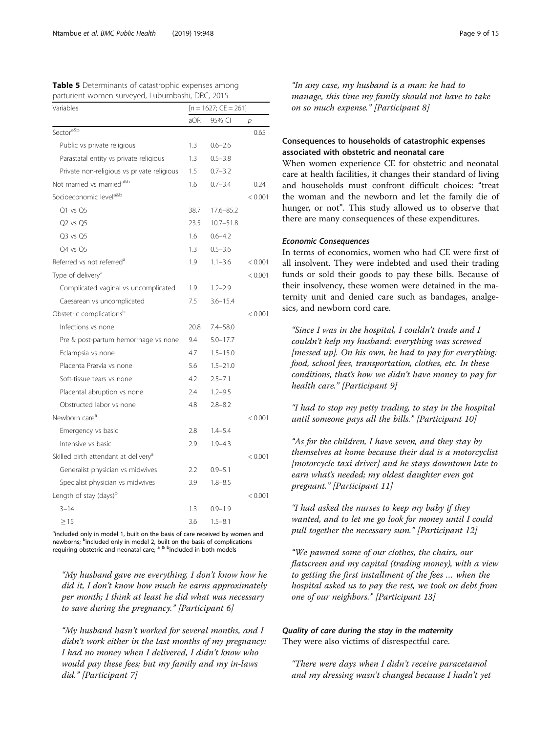<span id="page-8-0"></span>

| Table 5 Determinants of catastrophic expenses among |  |
|-----------------------------------------------------|--|
| parturient women surveyed, Lubumbashi, DRC, 2015    |  |

| Variables                                        | $[n = 1627; CE = 261]$ |               |         |  |
|--------------------------------------------------|------------------------|---------------|---------|--|
|                                                  | aOR                    | 95% CI        | p       |  |
| Sector <sup>a&amp;b</sup>                        |                        |               | 0.65    |  |
| Public vs private religious                      | 1.3                    | $0.6 - 2.6$   |         |  |
| Parastatal entity vs private religious           | 1.3                    | $0.5 - 3.8$   |         |  |
| Private non-religious vs private religious       | 1.5                    | $0.7 - 3.2$   |         |  |
| Not married vs married <sup>a&amp;b</sup>        | 1.6                    | $0.7 - 3.4$   | 0.24    |  |
| Socioeconomic level <sup>a&amp;b</sup>           |                        |               | < 0.001 |  |
| O1 vs O5                                         | 38.7                   | 17.6-85.2     |         |  |
| Q2 vs Q5                                         | 23.5                   | $10.7 - 51.8$ |         |  |
| Q3 vs Q5                                         | 1.6                    | $0.6 - 4.2$   |         |  |
| Q4 vs Q5                                         | 1.3                    | $0.5 - 3.6$   |         |  |
| Referred vs not referred <sup>a</sup>            | 1.9                    | $1.1 - 3.6$   | < 0.001 |  |
| Type of delivery <sup>a</sup>                    |                        |               | < 0.001 |  |
| Complicated vaginal vs uncomplicated             | 1.9                    | $1.2 - 2.9$   |         |  |
| Caesarean vs uncomplicated                       | 7.5                    | $3.6 - 15.4$  |         |  |
| Obstetric complications <sup>b</sup>             |                        |               | < 0.001 |  |
| Infections vs none                               | 20.8                   | $7.4 - 58.0$  |         |  |
| Pre & post-partum hemorrhage vs none             | 9.4                    | $5.0 - 17.7$  |         |  |
| Eclampsia vs none                                | 4.7                    | $1.5 - 15.0$  |         |  |
| Placenta Prævia vs none                          | 5.6                    | $1.5 - 21.0$  |         |  |
| Soft-tissue tears vs none                        | 4.2                    | $2.5 - 7.1$   |         |  |
| Placental abruption vs none                      | 7.4                    | $1.2 - 9.5$   |         |  |
| Obstructed labor vs none                         | 4.8                    | $2.8 - 8.2$   |         |  |
| Newborn care <sup>a</sup>                        |                        |               | < 0.001 |  |
| Emergency vs basic                               | 2.8                    | $1.4 - 5.4$   |         |  |
| Intensive vs basic                               | 2.9                    | $1.9 - 4.3$   |         |  |
| Skilled birth attendant at delivery <sup>a</sup> |                        |               | < 0.001 |  |
| Generalist physician vs midwives                 | 2.2                    | $0.9 - 5.1$   |         |  |
| Specialist physician vs midwives                 | 3.9                    | $1.8 - 8.5$   |         |  |
| Length of stay (days) <sup>b</sup>               |                        |               | < 0.001 |  |
| $3 - 14$                                         | 1.3                    | $0.9 - 1.9$   |         |  |
| $\geq$ 15                                        | 3.6                    | $1.5 - 8.1$   |         |  |

<sup>a</sup>included only in model 1, built on the basis of care received by women and newborns; <sup>b</sup>included only in model 2, built on the basis of complications requiring obstetric and neonatal care; <sup>a & b</sup>included in both models

"My husband gave me everything, I don't know how he did it, I don't know how much he earns approximately per month; I think at least he did what was necessary to save during the pregnancy." [Participant 6]

"My husband hasn't worked for several months, and I didn't work either in the last months of my pregnancy: I had no money when I delivered, I didn't know who would pay these fees; but my family and my in-laws did." [Participant 7]

"In any case, my husband is a man: he had to manage, this time my family should not have to take on so much expense." [Participant 8]

# Consequences to households of catastrophic expenses associated with obstetric and neonatal care

When women experience CE for obstetric and neonatal care at health facilities, it changes their standard of living and households must confront difficult choices: "treat the woman and the newborn and let the family die of hunger, or not". This study allowed us to observe that there are many consequences of these expenditures.

# Economic Consequences

In terms of economics, women who had CE were first of all insolvent. They were indebted and used their trading funds or sold their goods to pay these bills. Because of their insolvency, these women were detained in the maternity unit and denied care such as bandages, analgesics, and newborn cord care.

"Since I was in the hospital, I couldn't trade and I couldn't help my husband: everything was screwed  $[messed up]$ . On his own, he had to pay for everything: food, school fees, transportation, clothes, etc. In these conditions, that's how we didn't have money to pay for health care." [Participant 9]

"I had to stop my petty trading, to stay in the hospital until someone pays all the bills." [Participant 10]

"As for the children, I have seven, and they stay by themselves at home because their dad is a motorcyclist [motorcycle taxi driver] and he stays downtown late to earn what's needed; my oldest daughter even got pregnant." [Participant 11]

"I had asked the nurses to keep my baby if they wanted, and to let me go look for money until I could pull together the necessary sum." [Participant 12]

"We pawned some of our clothes, the chairs, our flatscreen and my capital (trading money), with a view to getting the first installment of the fees … when the hospital asked us to pay the rest, we took on debt from one of our neighbors." [Participant 13]

Quality of care during the stay in the maternity They were also victims of disrespectful care.

"There were days when I didn't receive paracetamol and my dressing wasn't changed because I hadn't yet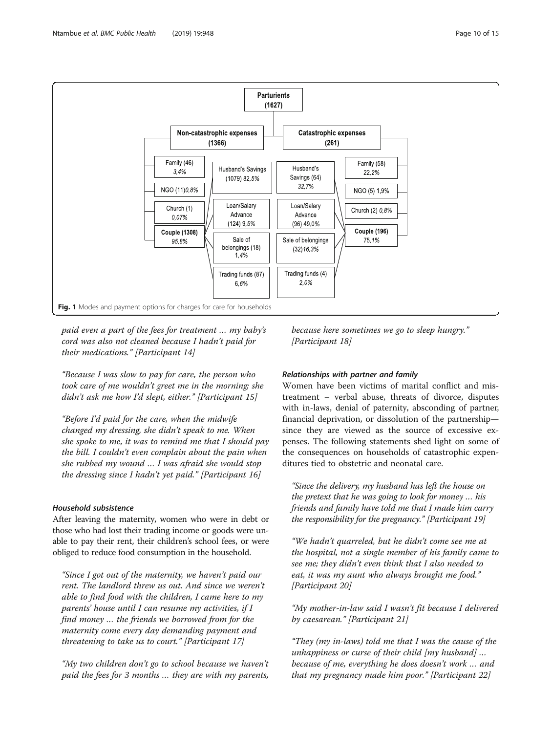<span id="page-9-0"></span>

paid even a part of the fees for treatment … my baby's cord was also not cleaned because I hadn't paid for their medications." [Participant 14]

"Because I was slow to pay for care, the person who took care of me wouldn't greet me in the morning; she didn't ask me how I'd slept, either." [Participant 15]

"Before I'd paid for the care, when the midwife changed my dressing, she didn't speak to me. When she spoke to me, it was to remind me that I should pay the bill. I couldn't even complain about the pain when she rubbed my wound … I was afraid she would stop the dressing since I hadn't yet paid." [Participant 16]

# Household subsistence

After leaving the maternity, women who were in debt or those who had lost their trading income or goods were unable to pay their rent, their children's school fees, or were obliged to reduce food consumption in the household.

"Since I got out of the maternity, we haven't paid our rent. The landlord threw us out. And since we weren't able to find food with the children, I came here to my parents' house until I can resume my activities, if I find money … the friends we borrowed from for the maternity come every day demanding payment and threatening to take us to court." [Participant 17]

"My two children don't go to school because we haven't paid the fees for 3 months … they are with my parents, because here sometimes we go to sleep hungry." [Participant 18]

# Relationships with partner and family

Women have been victims of marital conflict and mistreatment – verbal abuse, threats of divorce, disputes with in-laws, denial of paternity, absconding of partner, financial deprivation, or dissolution of the partnership since they are viewed as the source of excessive expenses. The following statements shed light on some of the consequences on households of catastrophic expenditures tied to obstetric and neonatal care.

"Since the delivery, my husband has left the house on the pretext that he was going to look for money … his friends and family have told me that I made him carry the responsibility for the pregnancy." [Participant 19]

"We hadn't quarreled, but he didn't come see me at the hospital, not a single member of his family came to see me; they didn't even think that I also needed to eat, it was my aunt who always brought me food." [Participant 20]

"My mother-in-law said I wasn't fit because I delivered by caesarean." [Participant 21]

"They (my in-laws) told me that I was the cause of the unhappiness or curse of their child [my husband] … because of me, everything he does doesn't work … and that my pregnancy made him poor." [Participant 22]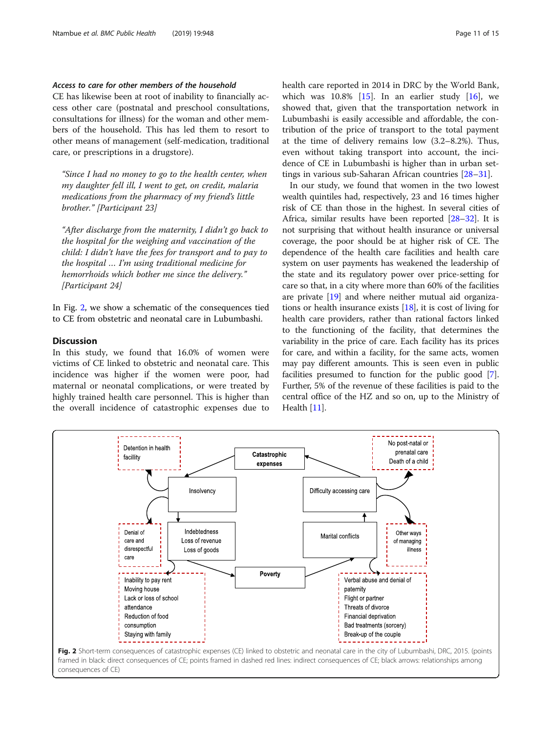# Access to care for other members of the household

CE has likewise been at root of inability to financially access other care (postnatal and preschool consultations, consultations for illness) for the woman and other members of the household. This has led them to resort to other means of management (self-medication, traditional care, or prescriptions in a drugstore).

"Since I had no money to go to the health center, when my daughter fell ill, I went to get, on credit, malaria medications from the pharmacy of my friend's little brother." [Participant 23]

"After discharge from the maternity, I didn't go back to the hospital for the weighing and vaccination of the child: I didn't have the fees for transport and to pay to the hospital … I'm using traditional medicine for hemorrhoids which bother me since the delivery." [Participant 24]

In Fig. 2, we show a schematic of the consequences tied to CE from obstetric and neonatal care in Lubumbashi.

# Discussion

In this study, we found that 16.0% of women were victims of CE linked to obstetric and neonatal care. This incidence was higher if the women were poor, had maternal or neonatal complications, or were treated by highly trained health care personnel. This is higher than the overall incidence of catastrophic expenses due to health care reported in 2014 in DRC by the World Bank, which was  $10.8\%$  [\[15\]](#page-13-0). In an earlier study [[16\]](#page-13-0), we showed that, given that the transportation network in Lubumbashi is easily accessible and affordable, the contribution of the price of transport to the total payment at the time of delivery remains low (3.2–8.2%). Thus, even without taking transport into account, the incidence of CE in Lubumbashi is higher than in urban settings in various sub-Saharan African countries [[28](#page-13-0)–[31](#page-13-0)].

In our study, we found that women in the two lowest wealth quintiles had, respectively, 23 and 16 times higher risk of CE than those in the highest. In several cities of Africa, similar results have been reported [[28](#page-13-0)–[32\]](#page-13-0). It is not surprising that without health insurance or universal coverage, the poor should be at higher risk of CE. The dependence of the health care facilities and health care system on user payments has weakened the leadership of the state and its regulatory power over price-setting for care so that, in a city where more than 60% of the facilities are private [[19](#page-13-0)] and where neither mutual aid organizations or health insurance exists [[18](#page-13-0)], it is cost of living for health care providers, rather than rational factors linked to the functioning of the facility, that determines the variability in the price of care. Each facility has its prices for care, and within a facility, for the same acts, women may pay different amounts. This is seen even in public facilities presumed to function for the public good [[7](#page-13-0)]. Further, 5% of the revenue of these facilities is paid to the central office of the HZ and so on, up to the Ministry of Health [\[11\]](#page-13-0).

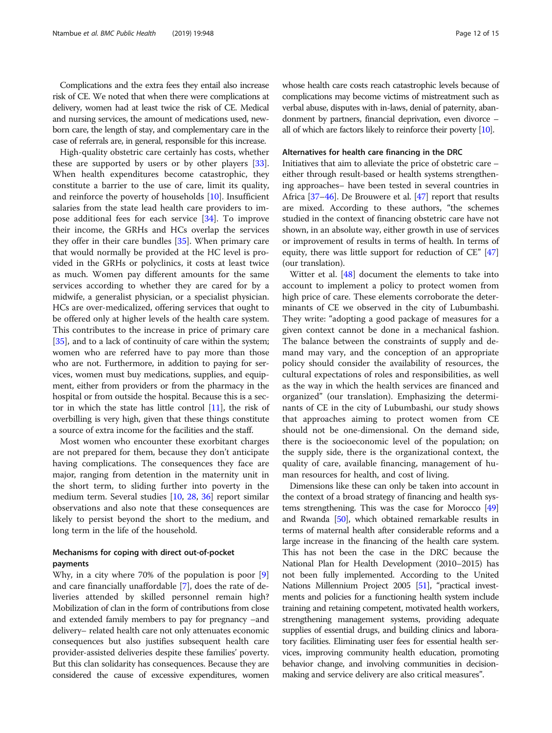Complications and the extra fees they entail also increase risk of CE. We noted that when there were complications at delivery, women had at least twice the risk of CE. Medical and nursing services, the amount of medications used, newborn care, the length of stay, and complementary care in the case of referrals are, in general, responsible for this increase.

High-quality obstetric care certainly has costs, whether these are supported by users or by other players [\[33](#page-13-0)]. When health expenditures become catastrophic, they constitute a barrier to the use of care, limit its quality, and reinforce the poverty of households [\[10](#page-13-0)]. Insufficient salaries from the state lead health care providers to impose additional fees for each service [[34\]](#page-13-0). To improve their income, the GRHs and HCs overlap the services they offer in their care bundles [[35](#page-13-0)]. When primary care that would normally be provided at the HC level is provided in the GRHs or polyclinics, it costs at least twice as much. Women pay different amounts for the same services according to whether they are cared for by a midwife, a generalist physician, or a specialist physician. HCs are over-medicalized, offering services that ought to be offered only at higher levels of the health care system. This contributes to the increase in price of primary care [[35\]](#page-13-0), and to a lack of continuity of care within the system; women who are referred have to pay more than those who are not. Furthermore, in addition to paying for services, women must buy medications, supplies, and equipment, either from providers or from the pharmacy in the hospital or from outside the hospital. Because this is a sector in which the state has little control [\[11\]](#page-13-0), the risk of overbilling is very high, given that these things constitute a source of extra income for the facilities and the staff.

Most women who encounter these exorbitant charges are not prepared for them, because they don't anticipate having complications. The consequences they face are major, ranging from detention in the maternity unit in the short term, to sliding further into poverty in the medium term. Several studies [[10](#page-13-0), [28,](#page-13-0) [36](#page-13-0)] report similar observations and also note that these consequences are likely to persist beyond the short to the medium, and long term in the life of the household.

# Mechanisms for coping with direct out-of-pocket payments

Why, in a city where 70% of the population is poor [\[9](#page-13-0)] and care financially unaffordable [[7\]](#page-13-0), does the rate of deliveries attended by skilled personnel remain high? Mobilization of clan in the form of contributions from close and extended family members to pay for pregnancy –and delivery– related health care not only attenuates economic consequences but also justifies subsequent health care provider-assisted deliveries despite these families' poverty. But this clan solidarity has consequences. Because they are considered the cause of excessive expenditures, women whose health care costs reach catastrophic levels because of complications may become victims of mistreatment such as verbal abuse, disputes with in-laws, denial of paternity, abandonment by partners, financial deprivation, even divorce – all of which are factors likely to reinforce their poverty [\[10\]](#page-13-0).

#### Alternatives for health care financing in the DRC

Initiatives that aim to alleviate the price of obstetric care – either through result-based or health systems strengthening approaches– have been tested in several countries in Africa [\[37](#page-13-0)–[46](#page-14-0)]. De Brouwere et al. [\[47\]](#page-14-0) report that results are mixed. According to these authors, "the schemes studied in the context of financing obstetric care have not shown, in an absolute way, either growth in use of services or improvement of results in terms of health. In terms of equity, there was little support for reduction of CE" [[47](#page-14-0)] (our translation).

Witter et al. [[48\]](#page-14-0) document the elements to take into account to implement a policy to protect women from high price of care. These elements corroborate the determinants of CE we observed in the city of Lubumbashi. They write: "adopting a good package of measures for a given context cannot be done in a mechanical fashion. The balance between the constraints of supply and demand may vary, and the conception of an appropriate policy should consider the availability of resources, the cultural expectations of roles and responsibilities, as well as the way in which the health services are financed and organized" (our translation). Emphasizing the determinants of CE in the city of Lubumbashi, our study shows that approaches aiming to protect women from CE should not be one-dimensional. On the demand side, there is the socioeconomic level of the population; on the supply side, there is the organizational context, the quality of care, available financing, management of human resources for health, and cost of living.

Dimensions like these can only be taken into account in the context of a broad strategy of financing and health systems strengthening. This was the case for Morocco [\[49](#page-14-0)] and Rwanda [[50](#page-14-0)], which obtained remarkable results in terms of maternal health after considerable reforms and a large increase in the financing of the health care system. This has not been the case in the DRC because the National Plan for Health Development (2010–2015) has not been fully implemented. According to the United Nations Millennium Project 2005 [[51\]](#page-14-0), "practical investments and policies for a functioning health system include training and retaining competent, motivated health workers, strengthening management systems, providing adequate supplies of essential drugs, and building clinics and laboratory facilities. Eliminating user fees for essential health services, improving community health education, promoting behavior change, and involving communities in decisionmaking and service delivery are also critical measures".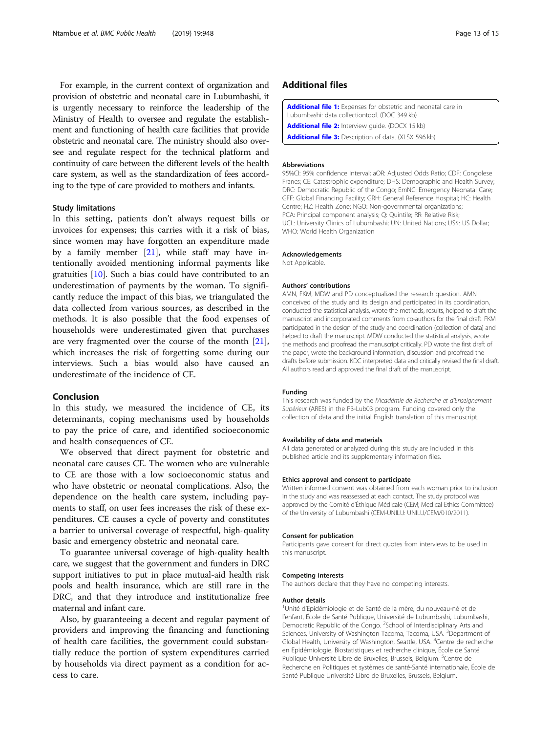<span id="page-12-0"></span>For example, in the current context of organization and provision of obstetric and neonatal care in Lubumbashi, it is urgently necessary to reinforce the leadership of the Ministry of Health to oversee and regulate the establishment and functioning of health care facilities that provide obstetric and neonatal care. The ministry should also oversee and regulate respect for the technical platform and continuity of care between the different levels of the health care system, as well as the standardization of fees according to the type of care provided to mothers and infants.

# Study limitations

In this setting, patients don't always request bills or invoices for expenses; this carries with it a risk of bias, since women may have forgotten an expenditure made by a family member [[21\]](#page-13-0), while staff may have intentionally avoided mentioning informal payments like gratuities [[10\]](#page-13-0). Such a bias could have contributed to an underestimation of payments by the woman. To significantly reduce the impact of this bias, we triangulated the data collected from various sources, as described in the methods. It is also possible that the food expenses of households were underestimated given that purchases are very fragmented over the course of the month [\[21](#page-13-0)], which increases the risk of forgetting some during our interviews. Such a bias would also have caused an underestimate of the incidence of CE.

# Conclusion

In this study, we measured the incidence of CE, its determinants, coping mechanisms used by households to pay the price of care, and identified socioeconomic and health consequences of CE.

We observed that direct payment for obstetric and neonatal care causes CE. The women who are vulnerable to CE are those with a low socioeconomic status and who have obstetric or neonatal complications. Also, the dependence on the health care system, including payments to staff, on user fees increases the risk of these expenditures. CE causes a cycle of poverty and constitutes a barrier to universal coverage of respectful, high-quality basic and emergency obstetric and neonatal care.

To guarantee universal coverage of high-quality health care, we suggest that the government and funders in DRC support initiatives to put in place mutual-aid health risk pools and health insurance, which are still rare in the DRC, and that they introduce and institutionalize free maternal and infant care.

Also, by guaranteeing a decent and regular payment of providers and improving the financing and functioning of health care facilities, the government could substantially reduce the portion of system expenditures carried by households via direct payment as a condition for access to care.

# Additional files

| <b>Additional file 1:</b> Expenses for obstetric and neonatal care in |
|-----------------------------------------------------------------------|
| Lubumbashi: data collectiontool. (DOC 349 kb)                         |
| <b>Additional file 2:</b> Interview quide. (DOCX 15 kb)               |
| <b>Additional file 3:</b> Description of data. (XLSX 596 kb)          |

#### Abbreviations

95%CI: 95% confidence interval; aOR: Adjusted Odds Ratio; CDF: Congolese Francs; CE: Catastrophic expenditure; DHS: Demographic and Health Survey; DRC: Democratic Republic of the Congo; EmNC: Emergency Neonatal Care; GFF: Global Financing Facility; GRH: General Reference Hospital; HC: Health Centre; HZ: Health Zone; NGO: Non-governmental organizations; PCA: Principal component analysis; Q: Quintile; RR: Relative Risk; UCL: University Clinics of Lubumbashi; UN: United Nations; US\$: US Dollar; WHO: World Health Organization

#### Acknowledgements

Not Applicable.

#### Authors' contributions

AMN, FKM, MDW and PD conceptualized the research question. AMN conceived of the study and its design and participated in its coordination, conducted the statistical analysis, wrote the methods, results, helped to draft the manuscript and incorporated comments from co-authors for the final draft. FKM participated in the design of the study and coordination (collection of data) and helped to draft the manuscript. MDW conducted the statistical analysis, wrote the methods and proofread the manuscript critically. PD wrote the first draft of the paper, wrote the background information, discussion and proofread the drafts before submission. KDC interpreted data and critically revised the final draft. All authors read and approved the final draft of the manuscript.

#### Funding

This research was funded by the l'Académie de Recherche et d'Enseignement Supérieur (ARES) in the P3-Lub03 program. Funding covered only the collection of data and the initial English translation of this manuscript.

#### Availability of data and materials

All data generated or analyzed during this study are included in this published article and its supplementary information files.

#### Ethics approval and consent to participate

Written informed consent was obtained from each woman prior to inclusion in the study and was reassessed at each contact. The study protocol was approved by the Comité d'Éthique Médicale (CEM; Medical Ethics Committee) of the University of Lubumbashi (CEM-UNILU: UNILU/CEM/010/2011).

#### Consent for publication

Participants gave consent for direct quotes from interviews to be used in this manuscript.

#### Competing interests

The authors declare that they have no competing interests.

#### Author details

<sup>1</sup>Unité d'Epidémiologie et de Santé de la mère, du nouveau-né et de l'enfant, École de Santé Publique, Université de Lubumbashi, Lubumbashi, Democratic Republic of the Congo. <sup>2</sup>School of Interdisciplinary Arts and Sciences, University of Washington Tacoma, Tacoma, USA. <sup>3</sup>Department of Global Health, University of Washington, Seattle, USA. <sup>4</sup>Centre de recherche en Epidémiologie, Biostatistiques et recherche clinique, École de Santé Publique Université Libre de Bruxelles, Brussels, Belgium. <sup>5</sup>Centre de Recherche en Politiques et systèmes de santé-Santé internationale, École de Santé Publique Université Libre de Bruxelles, Brussels, Belgium.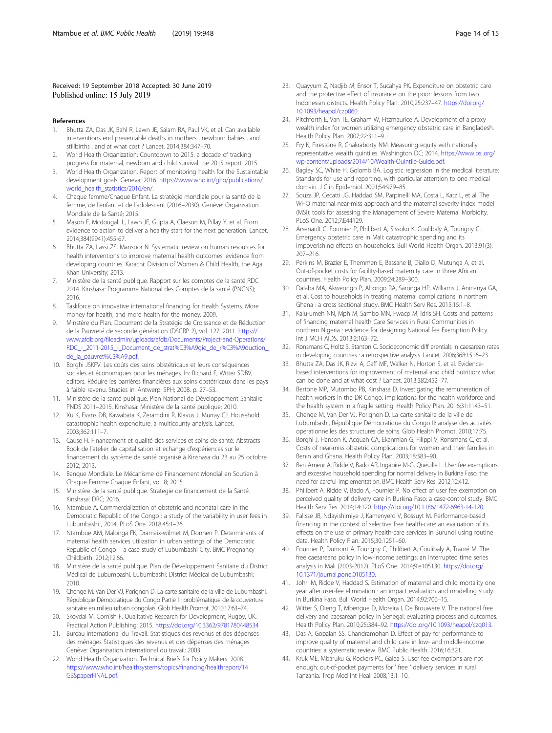#### <span id="page-13-0"></span>Received: 19 September 2018 Accepted: 30 June 2019 Published online: 15 July 2019

#### References

- 1. Bhutta ZA, Das JK, Bahl R, Lawn JE, Salam RA, Paul VK, et al. Can available interventions end preventable deaths in mothers , newborn babies , and stillbirths , and at what cost ? Lancet. 2014;384:347–70.
- 2. World Health Organization: Countdown to 2015: a decade of tracking progress for maternal, newborn and child survival the 2015 report. 2015.
- 3. World Health Organization. Report of monitoring health for the Sustaintable development goals. Geneva; 2016. [https://www.who.int/gho/publications/](https://www.who.int/gho/publications/world_health_statistics/2016/en/) [world\\_health\\_statistics/2016/en/.](https://www.who.int/gho/publications/world_health_statistics/2016/en/)
- 4. Chaque femme/Chaque Enfant. La stratégie mondiale pour la santé de la femme, de l'enfant et de l'adolescent (2016–2030). Genève: Organisation Mondiale de la Santé; 2015.
- Mason E, Mcdougall L, Lawn JE, Gupta A, Claeson M, Pillay Y, et al. From evidence to action to deliver a healthy start for the next generation. Lancet. 2014;384(9941):455-67.
- 6. Bhutta ZA, Lassi ZS, Mansoor N. Systematic review on human resources for health interventions to improve maternal health outcomes: evidence from developing countries. Karachi: Division of Women & Child Health, the Aga Khan University; 2013.
- 7. Ministère de la santé publique. Rapport sur les comptes de la santé RDC 2014. Kinshasa: Programme National des Comptes de la santé (PNCNS); 2016.
- 8. Taskforce on innovative international financing for Health Systems. More money for health, and more health for the money. 2009.
- 9. Minstère du Plan. Document de la Stratégie de Croissance et de Réduction de la Pauvreté de seconde génération (DSCRP 2), vol. 127; 2011. [https://](https://www.afdb.org/fileadmin/uploads/afdb/Documents/Project-and-Operations/RDC_-_2011-2015_-_Document_de_strat%C3%A9gie_de_r%C3%A9duction_de_la_pauvret%C3%A9.pdf) [www.afdb.org/fileadmin/uploads/afdb/Documents/Project-and-Operations/](https://www.afdb.org/fileadmin/uploads/afdb/Documents/Project-and-Operations/RDC_-_2011-2015_-_Document_de_strat%C3%A9gie_de_r%C3%A9duction_de_la_pauvret%C3%A9.pdf) [RDC\\_-\\_2011-2015\\_-\\_Document\\_de\\_strat%C3%A9gie\\_de\\_r%C3%A9duction\\_](https://www.afdb.org/fileadmin/uploads/afdb/Documents/Project-and-Operations/RDC_-_2011-2015_-_Document_de_strat%C3%A9gie_de_r%C3%A9duction_de_la_pauvret%C3%A9.pdf) [de\\_la\\_pauvret%C3%A9.pdf](https://www.afdb.org/fileadmin/uploads/afdb/Documents/Project-and-Operations/RDC_-_2011-2015_-_Document_de_strat%C3%A9gie_de_r%C3%A9duction_de_la_pauvret%C3%A9.pdf).
- 10. Borghi JSKFV. Les coûts des soins obstétricaux et leurs conséquences sociales et économiques pour les ménages. In: Richard F, Witter SDBV, editors. Réduire les barrières financières aux soins obstétricaux dans les pays à faible revenu. Studies in. Antwerp: SPH; 2008. p. 27–53.
- 11. Ministère de la santé publique. Plan National de Développement Sanitaire PNDS 2011–2015. Kinshasa: Ministère de la santé publique; 2010.
- 12. Xu K, Evans DB, Kawabata K, Zeramdini R, Klavus J, Murray CJ. Household catastrophic health expenditure: a multicounty analysis. Lancet. 2003;362:111–7.
- 13. Cause H. Financement et qualité des services et soins de santé: Abstracts Book de l'atelier de capitalisation et echange d'expériences sur le financement du système de santé organisé à Kinshasa du 23 au 25 octobre 2012; 2013.
- 14. Banque Mondiale. Le Mécanisme de Financement Mondial en Soutien à Chaque Femme Chaque Enfant, vol. 8; 2015.
- 15. Ministère de la santé publique. Strategie de financement de la Santé. Kinshasa: DRC; 2016.
- 16. Ntambue A. Commercialization of obstetric and neonatal care in the Democratic Republic of the Congo : a study of the variability in user fees in Lubumbashi , 2014. PLoS One. 2018;45:1–26.
- 17. Ntambue AM, Malonga FK, Dramaix-wilmet M, Donnen P. Determinants of maternal health services utilization in urban settings of the Democratic Republic of Congo – a case study of Lubumbashi City. BMC Pregnancy Childbirth. 2012;12:66.
- 18. Ministère de la santé publique. Plan de Développement Sanitaire du District Médical de Lubumbashi. Lubumbashi: District Médical de Lubumbashi; 2010.
- 19. Chenge M, Van Der VJ, Porignon D. La carte sanitaire de la ville de Lubumbashi, République Démocratique du Congo Partie I : problématique de la couverture sanitaire en milieu urbain congolais. Glob Health Promot. 2010;17:63–74.
- 20. Skovdal M, Cornish F. Qualitative Research for Development, Rugby, UK: Practical Action Publishing; 2015. <https://doi.org/10.3362/9781780448534>
- 21. Bureau International du Travail. Statistiques des revenus et des dépenses des ménages Statistiques des revenus et des dépenses des ménages. Genève: Organisation international du travail; 2003.
- 22. World Health Organization. Technical Briefs for Policy Makers. 2008. [https://www.who.int/healthsystems/topics/financing/healthreport/14](https://www.who.int/healthsystems/topics/financing/healthreport/14GBSpaperFINAL.pdf) [GBSpaperFINAL.pdf.](https://www.who.int/healthsystems/topics/financing/healthreport/14GBSpaperFINAL.pdf)
- 23. Quayyum Z, Nadjib M, Ensor T, Sucahya PK. Expenditure on obstetric care and the protective effect of insurance on the poor: lessons from two Indonesian districts. Health Policy Plan. 2010;25:237–47. [https://doi.org/](https://doi.org/10.1093/heapol/czp060) [10.1093/heapol/czp060.](https://doi.org/10.1093/heapol/czp060)
- 24. Pitchforth E, Van TE, Graham W, Fitzmaurice A. Development of a proxy wealth index for women utilizing emergency obstetric care in Bangladesh. Health Policy Plan. 2007;22:311–9.
- 25. Fry K, Firestone R, Chakraborty NM. Measuring equity with nationally representative wealth quintiles. Washington DC; 2014. [https://www.psi.org/](https://www.psi.org/wp-content/uploads/2014/10/Wealth-Quintile-Guide.pdf) [wp-content/uploads/2014/10/Wealth-Quintile-Guide.pdf.](https://www.psi.org/wp-content/uploads/2014/10/Wealth-Quintile-Guide.pdf)
- 26. Bagley SC, White H, Golomb BA. Logistic regression in the medical literature: Standards for use and reporting, with particular attention to one medical domain. J Clin Epidemiol. 2001;54:979–85.
- 27. Souza JP, Cecatti JG, Haddad SM, Parpinelli MA, Costa L, Katz L, et al. The WHO maternal near-miss approach and the maternal severity index model (MSI): tools for assessing the Management of Severe Maternal Morbidity. PLoS One. 2012;7:E44129.
- 28. Arsenault C, Fournier P, Philibert A, Sissoko K, Coulibaly A, Tourigny C. Emergency obstetric care in Mali: catastrophic spending and its impoverishing effects on households. Bull World Health Organ. 2013;91(3): 207–216.
- 29. Perkins M, Brazier E, Themmen E, Bassane B, Diallo D, Mutunga A, et al. Out-of-pocket costs for facility-based maternity care in three African countries. Health Policy Plan. 2009;24:289–300.
- 30. Dalaba MA, Akweongo P, Aborigo RA, Saronga HP, Williams J, Aninanya GA, et al. Cost to households in treating maternal complications in northern Ghana : a cross sectional study. BMC Health Serv Res. 2015;15:1–8.
- 31. Kalu-umeh NN, Mph M, Sambo MN, Fwacp M, Idris SH. Costs and patterns of financing maternal health Care Services in Rural Communities in northern Nigeria : evidence for designing National fee Exemption Policy. Int J MCH AIDS. 2013;2:163–72.
- 32. Ronsmans C, Holtz S, Stanton C. Socioeconomic diff erentials in caesarean rates in developing countries : a retrospective analysis. Lancet. 2006;368:1516–23.
- 33. Bhutta ZA, Das JK, Rizvi A, Gaff MF, Walker N, Horton S, et al. Evidencebased interventions for improvement of maternal and child nutrition: what can be done and at what cost ? Lancet. 2013;382:452–77.
- 34. Bertone MP, Mutombo PB, Kinshasa D. Investigating the remuneration of health workers in the DR Congo: implications for the health workforce and the health system in a fragile setting. Health Policy Plan. 2016;31:1143–51.
- 35. Chenge M, Van Der VJ, Porignon D. La carte sanitaire de la ville de Lubumbashi, République Démocratique du Congo II: analyse des activités opérationnelles des structures de soins. Glob Health Promot. 2010;17:75.
- 36. Borghi J, Hanson K, Acquah CA, Ekanmian G, Filippi V, Ronsmans C, et al. Costs of near-miss obstetric complications for women and their families in Benin and Ghana. Health Policy Plan. 2003;18:383–90.
- 37. Ben Ameur A, Ridde V, Bado AR, Ingabire M-G, Queuille L. User fee exemptions and excessive household spending for normal delivery in Burkina Faso: the need for careful implementation. BMC Health Serv Res. 2012;12:412.
- 38. Philibert A, Ridde V, Bado A, Fournier P. No effect of user fee exemption on perceived quality of delivery care in Burkina Faso: a case-control study. BMC Health Serv Res. 2014;14:120. [https://doi.org/10.1186/1472-6963-14-120.](https://doi.org/10.1186/1472-6963-14-120)
- 39. Falisse JB, Ndayishimiye J, Kamenyero V, Bossuyt M. Performance-based financing in the context of selective free health-care: an evaluation of its effects on the use of primary health-care services in Burundi using routine data. Health Policy Plan. 2015;30:1251–60.
- 40. Fournier P, Dumont A, Tourigny C, Philibert A, Coulibaly A, Traoré M. The free caesareans policy in low-income settings: an interrupted time series analysis in Mali (2003-2012). PLoS One. 2014;9:e105130. [https://doi.org/](https://doi.org/10.1371/journal.pone.0105130) [10.1371/journal.pone.0105130](https://doi.org/10.1371/journal.pone.0105130).
- 41. Johri M, Ridde V, Haddad S. Estimation of maternal and child mortality one year after user-fee elimination : an impact evaluation and modelling study in Burkina Faso. Bull World Health Organ. 2014;92:706–15.
- 42. Witter S, Dieng T, Mbengue D, Moreira I, De Brouwere V. The national free delivery and caesarean policy in Senegal: evaluating process and outcomes. Health Policy Plan. 2010;25:384–92. <https://doi.org/10.1093/heapol/czq013>.
- 43. Das A, Gopalan SS, Chandramohan D. Effect of pay for performance to improve quality of maternal and child care in low- and middle-income countries: a systematic review. BMC Public Health. 2016;16:321.
- 44. Kruk ME, Mbaruku G, Rockers PC, Galea S. User fee exemptions are not enough: out-of-pocket payments for ' free ' delivery services in rural Tanzania. Trop Med Int Heal. 2008;13:1–10.